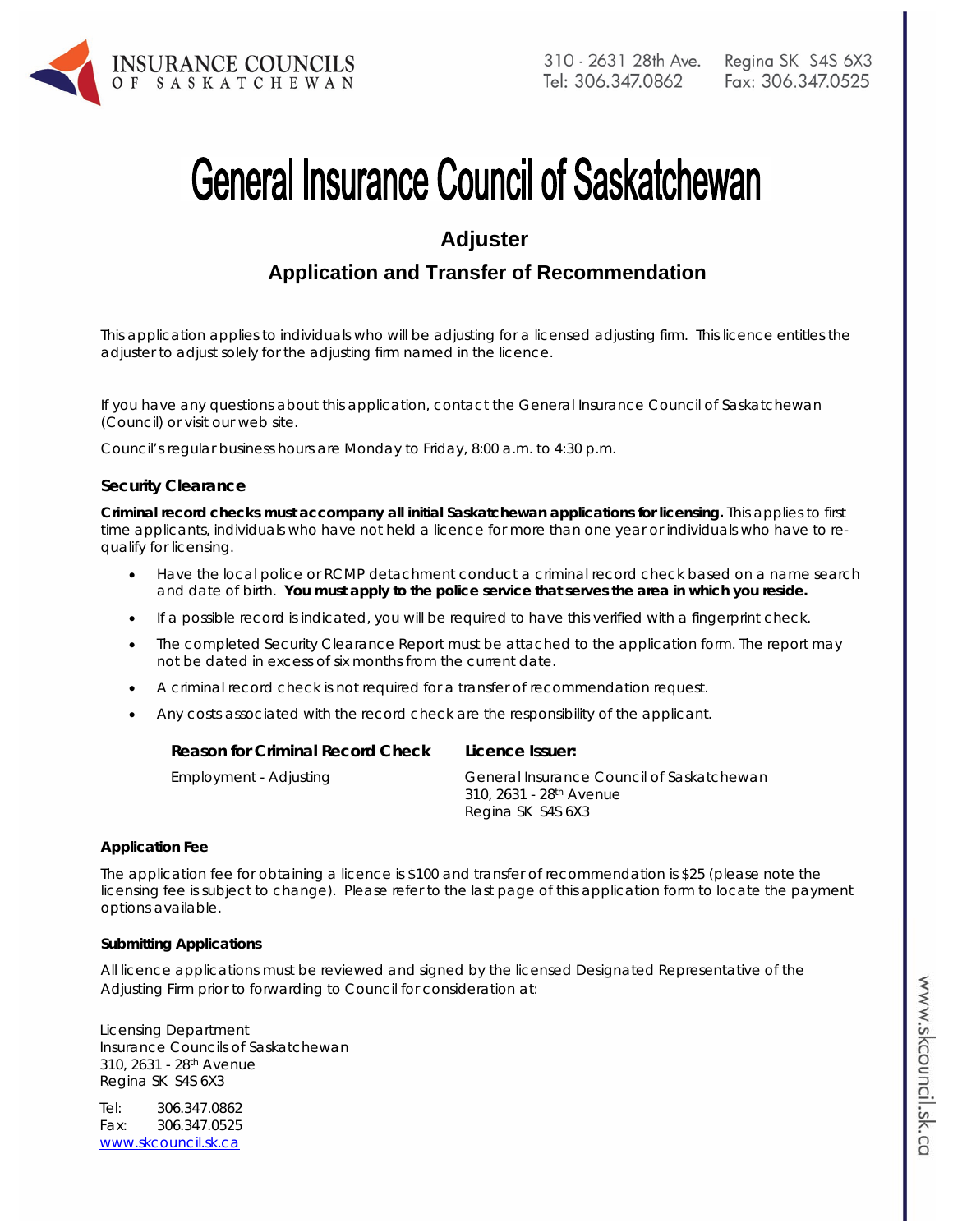

# **General Insurance Council of Saskatchewan**

# **Adjuster**

# **Application and Transfer of Recommendation**

*This application applies to individuals who will be adjusting for a licensed adjusting firm. This licence entitles the adjuster to adjust solely for the adjusting firm named in the licence.*

If you have any questions about this application, contact the General Insurance Council of Saskatchewan (Council) or visit our web site.

Council's regular business hours are Monday to Friday, 8:00 a.m. to 4:30 p.m.

#### **Security Clearance**

**Criminal record checks must accompany all initial Saskatchewan applications for licensing.** This applies to first time applicants, individuals who have not held a licence for more than one year or individuals who have to requalify for licensing.

- Have the local police or RCMP detachment conduct a criminal record check based on a name search and date of birth. **You must apply to the police service that serves the area in which you reside.**
- If a possible record is indicated, you will be required to have this verified with a fingerprint check.
- The completed Security Clearance Report must be attached to the application form. The report may not be dated in excess of six months from the current date.
- A criminal record check is not required for a transfer of recommendation request.
- Any costs associated with the record check are the responsibility of the applicant.

| Reason for Criminal Record Check | Licence Issuer:                                                                  |
|----------------------------------|----------------------------------------------------------------------------------|
| Employment - Adjusting           | General Insurance Council of Saskatchewan<br>310, 2631 - 28 <sup>th</sup> Avenue |
|                                  | Regina SK S4S 6X3                                                                |

#### **Application Fee**

The application fee for obtaining a licence is \$100 and transfer of recommendation is \$25 (please note the licensing fee is subject to change). Please refer to the last page of this application form to locate the payment options available.

#### **Submitting Applications**

All licence applications must be reviewed and signed by the licensed Designated Representative of the Adjusting Firm prior to forwarding to Council for consideration at:

Licensing Department Insurance Councils of Saskatchewan 310, 2631 - 28th Avenue Regina SK S4S 6X3

Tel: 306.347.0862 Fax: 306.347.0525 www.skcouncil.sk.ca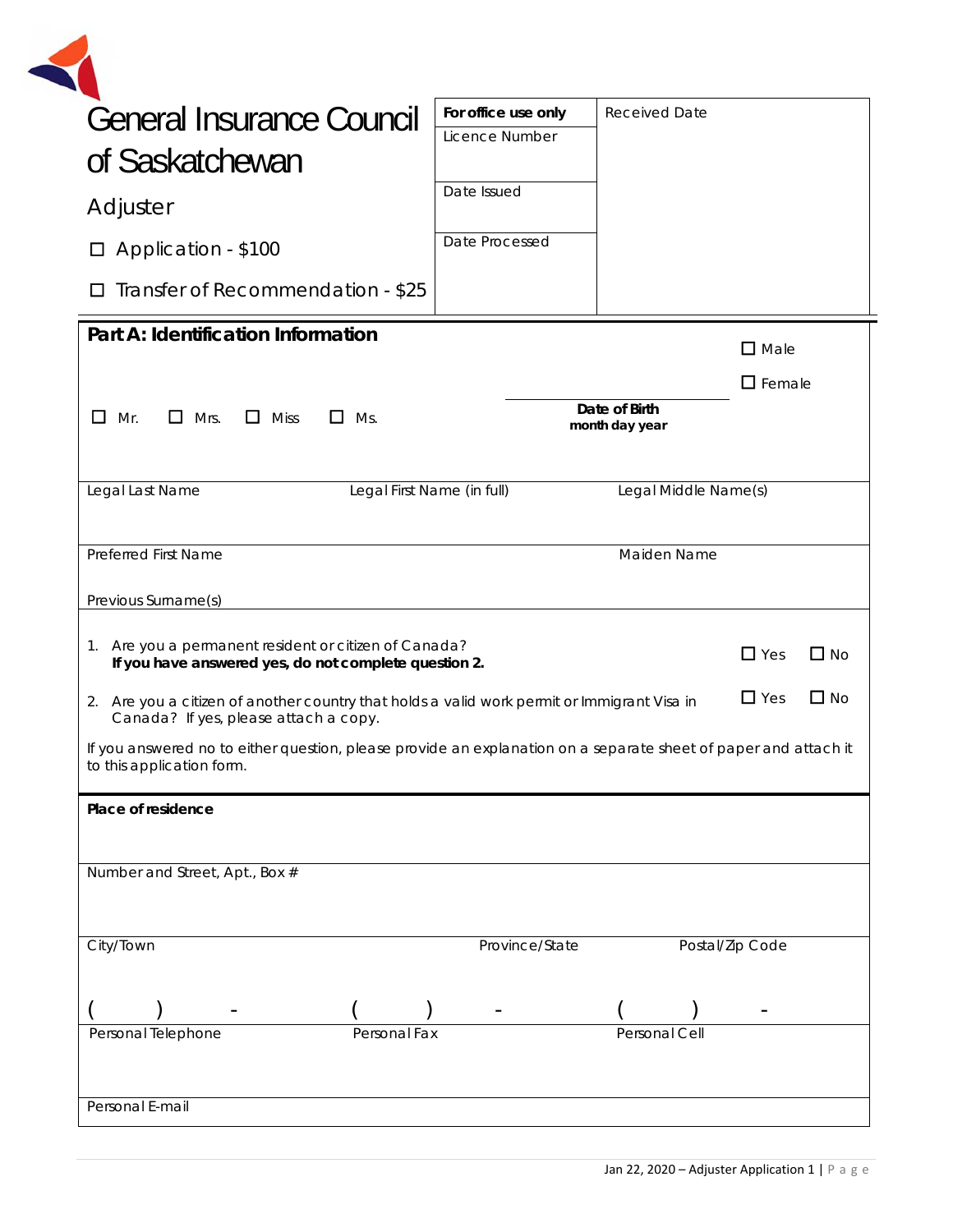| General Insurance Council                                                                                                                                                             | For office use only        | <b>Received Date</b>            |                 |           |
|---------------------------------------------------------------------------------------------------------------------------------------------------------------------------------------|----------------------------|---------------------------------|-----------------|-----------|
| of Saskatchewan                                                                                                                                                                       | Licence Number             |                                 |                 |           |
| Adjuster                                                                                                                                                                              | Date Issued                |                                 |                 |           |
| Application - \$100<br>$\Box$                                                                                                                                                         | Date Processed             |                                 |                 |           |
| Transfer of Recommendation - \$25<br>П                                                                                                                                                |                            |                                 |                 |           |
| Part A: Identification Information                                                                                                                                                    |                            |                                 | $\square$ Male  |           |
|                                                                                                                                                                                       |                            |                                 | $\Box$ Female   |           |
| $\Box$ Mrs.<br>$\Box$ Miss<br>$\mathsf{L}$<br>Mr.<br>ப<br>Ms.                                                                                                                         |                            | Date of Birth<br>month day year |                 |           |
| Legal Last Name                                                                                                                                                                       | Legal First Name (in full) | Legal Middle Name(s)            |                 |           |
| <b>Preferred First Name</b><br>Previous Surname(s)                                                                                                                                    |                            | Maiden Name                     |                 |           |
| Are you a permanent resident or citizen of Canada?<br>1.<br>If you have answered yes, do not complete question 2.                                                                     |                            |                                 | $\Box$ Yes      | $\Box$ No |
| 2. Are you a citizen of another country that holds a valid work permit or Immigrant Visa in                                                                                           |                            |                                 | $\Box$ Yes      |           |
| Canada? If yes, please attach a copy.<br>If you answered no to either question, please provide an explanation on a separate sheet of paper and attach it<br>to this application form. |                            |                                 |                 | $\Box$ No |
| Place of residence                                                                                                                                                                    |                            |                                 |                 |           |
|                                                                                                                                                                                       |                            |                                 |                 |           |
| Number and Street, Apt., Box #                                                                                                                                                        |                            |                                 |                 |           |
| City/Town                                                                                                                                                                             | Province/State             |                                 | Postal/Zip Code |           |
| Personal Telephone                                                                                                                                                                    |                            |                                 |                 |           |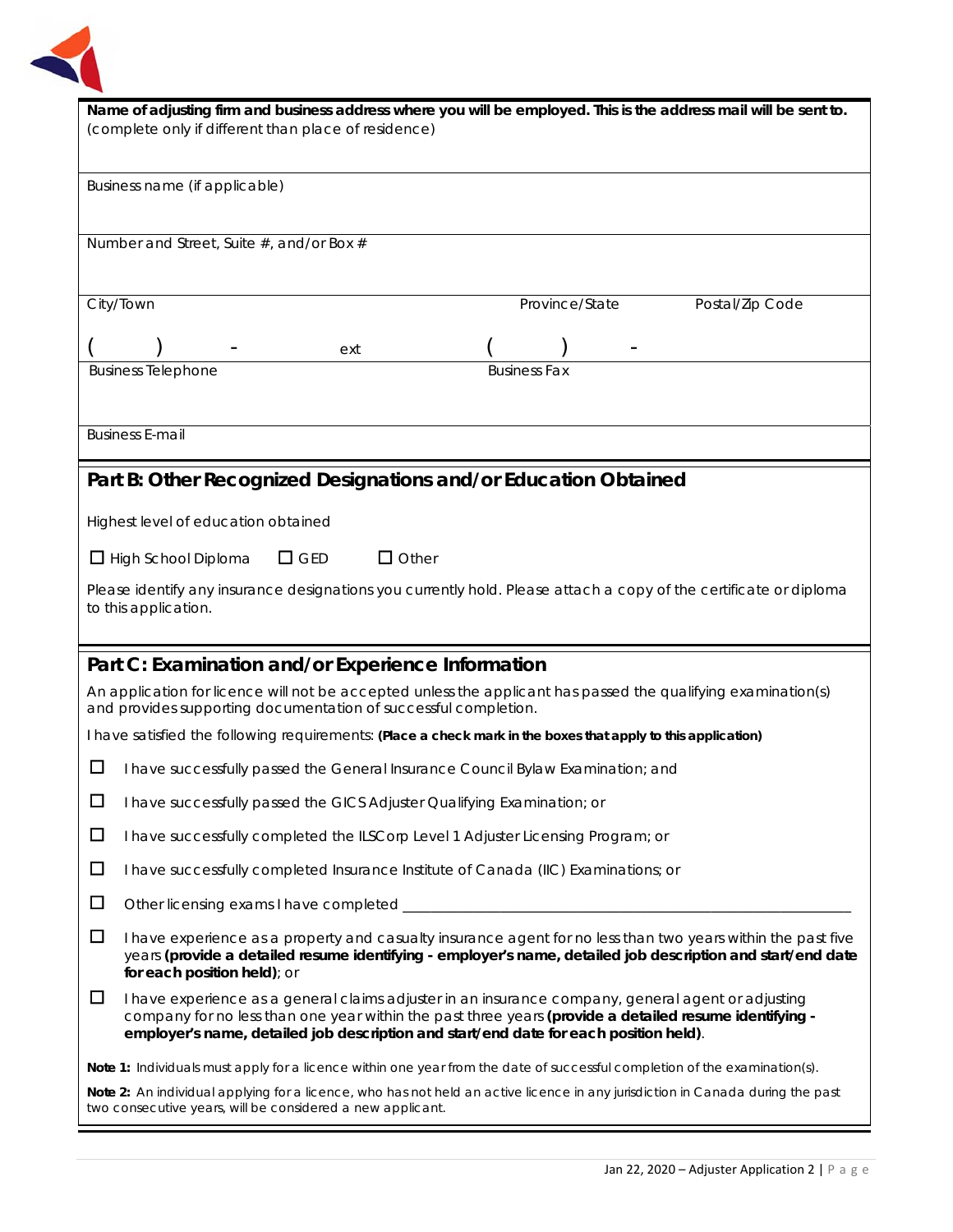

|                                                                                                               | Name of adjusting firm and business address where you will be employed. This is the address mail will be sent to.                                                                                                                                                                                     |  |  |
|---------------------------------------------------------------------------------------------------------------|-------------------------------------------------------------------------------------------------------------------------------------------------------------------------------------------------------------------------------------------------------------------------------------------------------|--|--|
|                                                                                                               | (complete only if different than place of residence)                                                                                                                                                                                                                                                  |  |  |
|                                                                                                               | Business name (if applicable)                                                                                                                                                                                                                                                                         |  |  |
|                                                                                                               |                                                                                                                                                                                                                                                                                                       |  |  |
|                                                                                                               | Number and Street, Suite #, and/or Box #                                                                                                                                                                                                                                                              |  |  |
|                                                                                                               | City/Town<br>Province/State<br>Postal/Zip Code                                                                                                                                                                                                                                                        |  |  |
|                                                                                                               | ext                                                                                                                                                                                                                                                                                                   |  |  |
|                                                                                                               | <b>Business Telephone</b><br><b>Business Fax</b>                                                                                                                                                                                                                                                      |  |  |
|                                                                                                               | <b>Business E-mail</b>                                                                                                                                                                                                                                                                                |  |  |
|                                                                                                               |                                                                                                                                                                                                                                                                                                       |  |  |
|                                                                                                               | Part B: Other Recognized Designations and/or Education Obtained                                                                                                                                                                                                                                       |  |  |
|                                                                                                               | Highest level of education obtained                                                                                                                                                                                                                                                                   |  |  |
|                                                                                                               | $\Box$ GED<br>$\Box$ Other<br>$\Box$ High School Diploma                                                                                                                                                                                                                                              |  |  |
|                                                                                                               | Please identify any insurance designations you currently hold. Please attach a copy of the certificate or diploma<br>to this application.                                                                                                                                                             |  |  |
|                                                                                                               |                                                                                                                                                                                                                                                                                                       |  |  |
|                                                                                                               | Part C: Examination and/or Experience Information                                                                                                                                                                                                                                                     |  |  |
|                                                                                                               | An application for licence will not be accepted unless the applicant has passed the qualifying examination(s)<br>and provides supporting documentation of successful completion.                                                                                                                      |  |  |
| I have satisfied the following requirements: (Place a check mark in the boxes that apply to this application) |                                                                                                                                                                                                                                                                                                       |  |  |
| ப                                                                                                             | I have successfully passed the General Insurance Council Bylaw Examination; and                                                                                                                                                                                                                       |  |  |
| $\Box$                                                                                                        | I have successfully passed the GICS Adjuster Qualifying Examination; or                                                                                                                                                                                                                               |  |  |
| $\Box$                                                                                                        | I have successfully completed the ILSCorp Level 1 Adjuster Licensing Program; or                                                                                                                                                                                                                      |  |  |
| $\Box$                                                                                                        | I have successfully completed Insurance Institute of Canada (IIC) Examinations; or                                                                                                                                                                                                                    |  |  |
| $\Box$                                                                                                        |                                                                                                                                                                                                                                                                                                       |  |  |
| $\Box$                                                                                                        | I have experience as a property and casualty insurance agent for no less than two years within the past five<br>years (provide a detailed resume identifying - employer's name, detailed job description and start/end date<br>for each position held); or                                            |  |  |
| $\Box$                                                                                                        | I have experience as a general claims adjuster in an insurance company, general agent or adjusting<br>company for no less than one year within the past three years (provide a detailed resume identifying -<br>employer's name, detailed job description and start/end date for each position held). |  |  |
|                                                                                                               | Note 1: Individuals must apply for a licence within one year from the date of successful completion of the examination(s).                                                                                                                                                                            |  |  |
|                                                                                                               | Note 2: An individual applying for a licence, who has not held an active licence in any jurisdiction in Canada during the past<br>two consecutive years, will be considered a new applicant.                                                                                                          |  |  |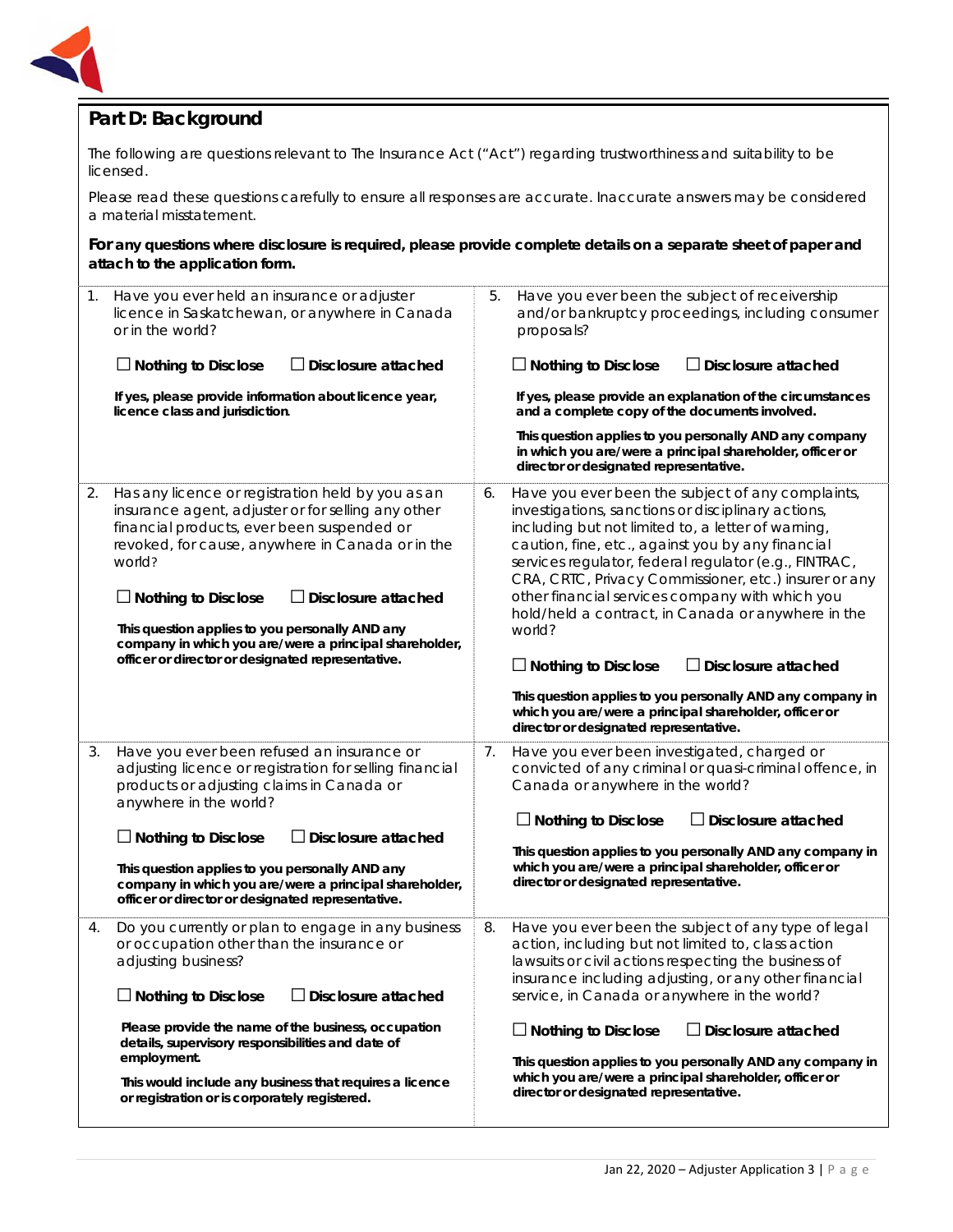

## **Part D: Background**

The following are questions relevant to *The Insurance Act ("Act")* regarding trustworthiness and suitability to be licensed.

Please read these questions carefully to ensure all responses are accurate. Inaccurate answers may be considered a material misstatement.

**For any questions where disclosure is required, please provide complete details on a separate sheet of paper and attach to the application form.**

| 1. | Have you ever held an insurance or adjuster<br>licence in Saskatchewan, or anywhere in Canada<br>or in the world?                                                                                                                                                                                                                                                                                                                                 |    | Have you ever been the subject of receivership<br>and/or bankruptcy proceedings, including consumer<br>proposals?                                                                                                                                                                                                                                                                                                                                                                                                   |
|----|---------------------------------------------------------------------------------------------------------------------------------------------------------------------------------------------------------------------------------------------------------------------------------------------------------------------------------------------------------------------------------------------------------------------------------------------------|----|---------------------------------------------------------------------------------------------------------------------------------------------------------------------------------------------------------------------------------------------------------------------------------------------------------------------------------------------------------------------------------------------------------------------------------------------------------------------------------------------------------------------|
|    | <b>Nothing to Disclose</b><br>$\Box$ Disclosure attached                                                                                                                                                                                                                                                                                                                                                                                          |    | $\Box$ Nothing to Disclose<br>$\Box$ Disclosure attached                                                                                                                                                                                                                                                                                                                                                                                                                                                            |
|    | If yes, please provide information about licence year,<br>licence class and jurisdiction.                                                                                                                                                                                                                                                                                                                                                         |    | If yes, please provide an explanation of the circumstances<br>and a complete copy of the documents involved.                                                                                                                                                                                                                                                                                                                                                                                                        |
|    |                                                                                                                                                                                                                                                                                                                                                                                                                                                   |    | This question applies to you personally AND any company<br>in which you are/were a principal shareholder, officer or<br>director or designated representative.                                                                                                                                                                                                                                                                                                                                                      |
| 2. | Has any licence or registration held by you as an<br>insurance agent, adjuster or for selling any other<br>financial products, ever been suspended or<br>revoked, for cause, anywhere in Canada or in the<br>world?<br>$\Box$ Nothing to Disclose<br>$\Box$ Disclosure attached<br>This question applies to you personally AND any<br>company in which you are/were a principal shareholder,<br>officer or director or designated representative. | 6. | Have you ever been the subject of any complaints,<br>investigations, sanctions or disciplinary actions,<br>including but not limited to, a letter of warning,<br>caution, fine, etc., against you by any financial<br>services regulator, federal regulator (e.g., FINTRAC,<br>CRA, CRTC, Privacy Commissioner, etc.) insurer or any<br>other financial services company with which you<br>hold/held a contract, in Canada or anywhere in the<br>world?<br>$\Box$ Nothing to Disclose<br>$\Box$ Disclosure attached |
|    |                                                                                                                                                                                                                                                                                                                                                                                                                                                   |    | This question applies to you personally AND any company in<br>which you are/were a principal shareholder, officer or<br>director or designated representative.                                                                                                                                                                                                                                                                                                                                                      |
| 3. | Have you ever been refused an insurance or<br>adjusting licence or registration for selling financial<br>products or adjusting claims in Canada or<br>anywhere in the world?                                                                                                                                                                                                                                                                      | 7. | Have you ever been investigated, charged or<br>convicted of any criminal or quasi-criminal offence, in<br>Canada or anywhere in the world?<br>$\Box$ Disclosure attached                                                                                                                                                                                                                                                                                                                                            |
|    | $\Box$ Nothing to Disclose<br>Disclosure attached                                                                                                                                                                                                                                                                                                                                                                                                 |    | $\Box$ Nothing to Disclose                                                                                                                                                                                                                                                                                                                                                                                                                                                                                          |
|    | This question applies to you personally AND any<br>company in which you are/were a principal shareholder,<br>officer or director or designated representative.                                                                                                                                                                                                                                                                                    |    | This question applies to you personally AND any company in<br>which you are/were a principal shareholder, officer or<br>director or designated representative.                                                                                                                                                                                                                                                                                                                                                      |
| 4. | Do you currently or plan to engage in any business<br>or occupation other than the insurance or<br>adjusting business?<br>Disclosure attached<br>$\Box$ Nothing to Disclose                                                                                                                                                                                                                                                                       | 8. | Have you ever been the subject of any type of legal<br>action, including but not limited to, class action<br>lawsuits or civil actions respecting the business of<br>insurance including adjusting, or any other financial<br>service, in Canada or anywhere in the world?                                                                                                                                                                                                                                          |
|    | Please provide the name of the business, occupation<br>details, supervisory responsibilities and date of<br>employment.<br>This would include any business that requires a licence<br>or registration or is corporately registered.                                                                                                                                                                                                               |    | $\Box$ Nothing to Disclose<br>$\Box$ Disclosure attached<br>This question applies to you personally AND any company in<br>which you are/were a principal shareholder, officer or<br>director or designated representative.                                                                                                                                                                                                                                                                                          |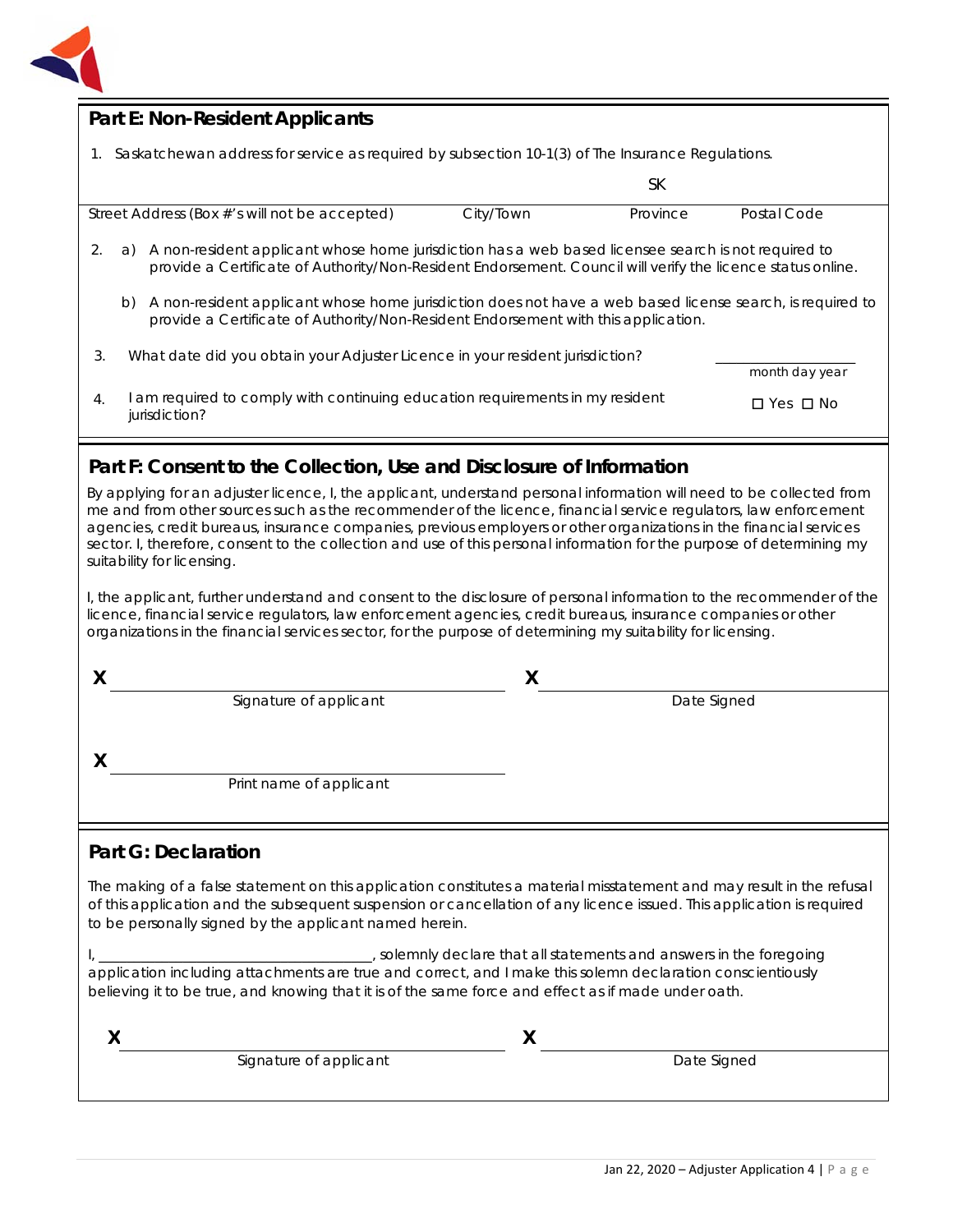

## **Part E: Non-Resident Applicants**

1. Saskatchewan address for service as required by subsection 10-1(3) of *The Insurance Regulations.*

|                  |                                                                                                                                                                                                                          |           | SК       |                      |
|------------------|--------------------------------------------------------------------------------------------------------------------------------------------------------------------------------------------------------------------------|-----------|----------|----------------------|
|                  | Street Address (Box #'s will not be accepted)                                                                                                                                                                            | City/Town | Province | Postal Code          |
|                  | A non-resident applicant whose home jurisdiction has a web based licensee search is not required to<br>a)<br>provide a Certificate of Authority/Non-Resident Endorsement. Council will verify the licence status online. |           |          |                      |
|                  | A non-resident applicant whose home jurisdiction does not have a web based license search, is required to<br>b)<br>provide a Certificate of Authority/Non-Resident Endorsement with this application.                    |           |          |                      |
| 3.               | What date did you obtain your Adjuster Licence in your resident jurisdiction?                                                                                                                                            |           |          | month day year       |
| $\overline{4}$ . | am required to comply with continuing education requirements in my resident<br>jurisdiction?                                                                                                                             |           |          | $\Box$ Yes $\Box$ No |

## **Part F: Consent to the Collection, Use and Disclosure of Information**

By applying for an adjuster licence, I, the applicant, understand personal information will need to be collected from me and from other sources such as the recommender of the licence, financial service regulators, law enforcement agencies, credit bureaus, insurance companies, previous employers or other organizations in the financial services sector. I, therefore, consent to the collection and use of this personal information for the purpose of determining my suitability for licensing.

I, the applicant, further understand and consent to the disclosure of personal information to the recommender of the licence, financial service regulators, law enforcement agencies, credit bureaus, insurance companies or other organizations in the financial services sector, for the purpose of determining my suitability for licensing.

| Signature of applicant  | Date Signed |
|-------------------------|-------------|
|                         |             |
|                         |             |
| Print name of applicant |             |
|                         |             |

## **Part G: Declaration**

The making of a false statement on this application constitutes a material misstatement and may result in the refusal of this application and the subsequent suspension or cancellation of any licence issued. This application is required to be personally signed by the applicant named herein.

I, \_\_\_\_\_\_\_\_\_\_\_\_\_\_\_\_\_\_\_\_\_\_\_\_\_\_\_\_\_\_\_\_\_\_\_\_\_\_\_, solemnly declare that all statements and answers in the foregoing application including attachments are true and correct, and I make this solemn declaration conscientiously believing it to be true, and knowing that it is of the same force and effect as if made under oath.

| ,,                     |             |
|------------------------|-------------|
| Signature of applicant | Date Signed |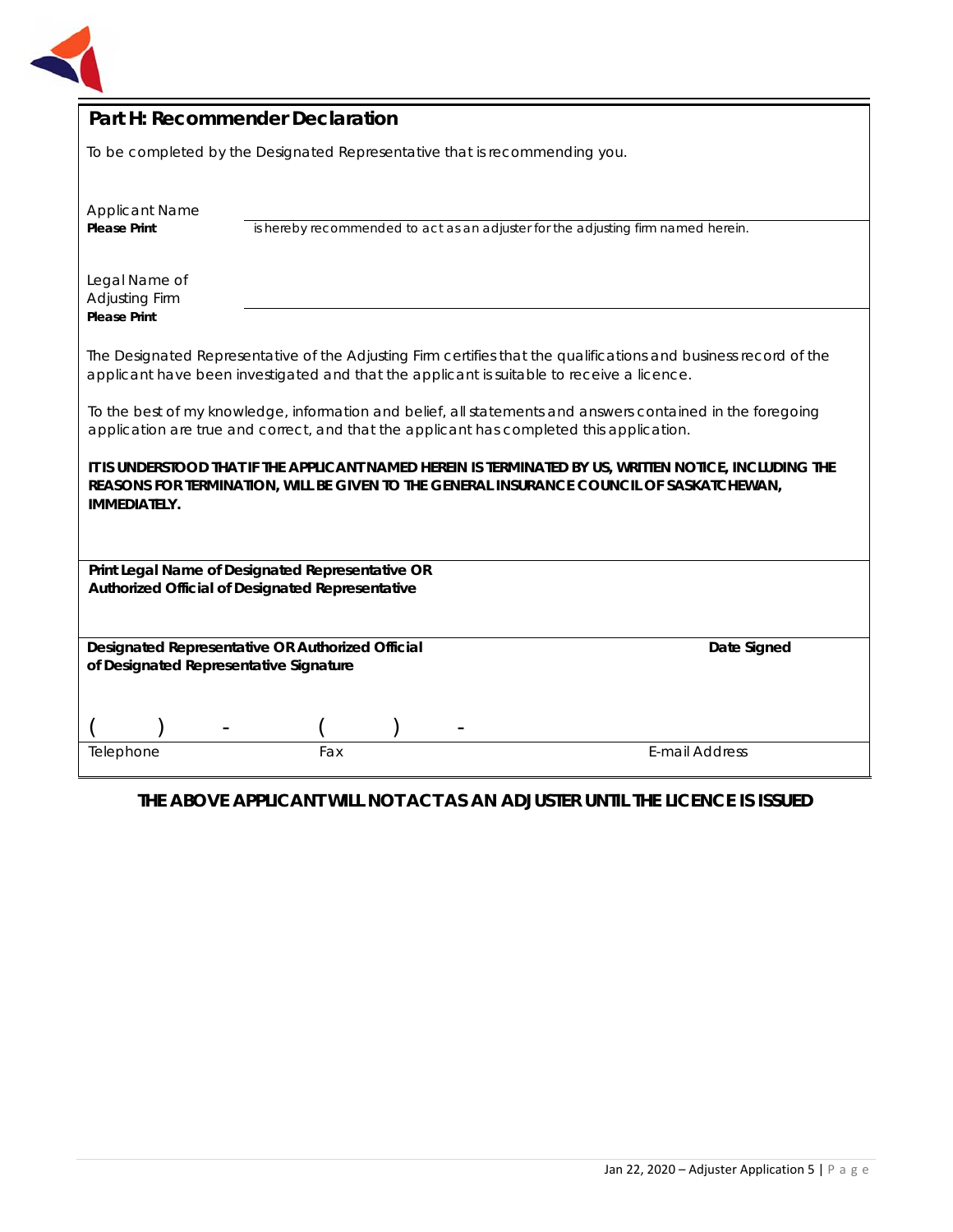

| Part H: Recommender Declaration                                                                                                                                                                                           |                                                                                                                                                                                                               |                                                                                  |  |  |  |
|---------------------------------------------------------------------------------------------------------------------------------------------------------------------------------------------------------------------------|---------------------------------------------------------------------------------------------------------------------------------------------------------------------------------------------------------------|----------------------------------------------------------------------------------|--|--|--|
| To be completed by the Designated Representative that is recommending you.                                                                                                                                                |                                                                                                                                                                                                               |                                                                                  |  |  |  |
| <b>Applicant Name</b>                                                                                                                                                                                                     |                                                                                                                                                                                                               |                                                                                  |  |  |  |
| <b>Please Print</b>                                                                                                                                                                                                       |                                                                                                                                                                                                               | is hereby recommended to act as an adjuster for the adjusting firm named herein. |  |  |  |
| Legal Name of<br>Adjusting Firm<br><b>Please Print</b>                                                                                                                                                                    |                                                                                                                                                                                                               |                                                                                  |  |  |  |
|                                                                                                                                                                                                                           | The Designated Representative of the Adjusting Firm certifies that the qualifications and business record of the<br>applicant have been investigated and that the applicant is suitable to receive a licence. |                                                                                  |  |  |  |
| To the best of my knowledge, information and belief, all statements and answers contained in the foregoing<br>application are true and correct, and that the applicant has completed this application.                    |                                                                                                                                                                                                               |                                                                                  |  |  |  |
| IT IS UNDERSTOOD THAT IF THE APPLICANT NAMED HEREIN IS TERMINATED BY US, WRITTEN NOTICE, INCLUDING THE<br>REASONS FOR TERMINATION, WILL BE GIVEN TO THE GENERAL INSURANCE COUNCIL OF SASKATCHEWAN,<br><b>IMMEDIATELY.</b> |                                                                                                                                                                                                               |                                                                                  |  |  |  |
|                                                                                                                                                                                                                           | Print Legal Name of Designated Representative OR                                                                                                                                                              |                                                                                  |  |  |  |
| Authorized Official of Designated Representative                                                                                                                                                                          |                                                                                                                                                                                                               |                                                                                  |  |  |  |
| of Designated Representative Signature                                                                                                                                                                                    | Designated Representative OR Authorized Official                                                                                                                                                              | Date Signed                                                                      |  |  |  |
| Telephone                                                                                                                                                                                                                 | Fax                                                                                                                                                                                                           | <b>E-mail Address</b>                                                            |  |  |  |
|                                                                                                                                                                                                                           |                                                                                                                                                                                                               |                                                                                  |  |  |  |

# **THE ABOVE APPLICANT WILL NOT ACT AS AN ADJUSTER UNTIL THE LICENCE IS ISSUED**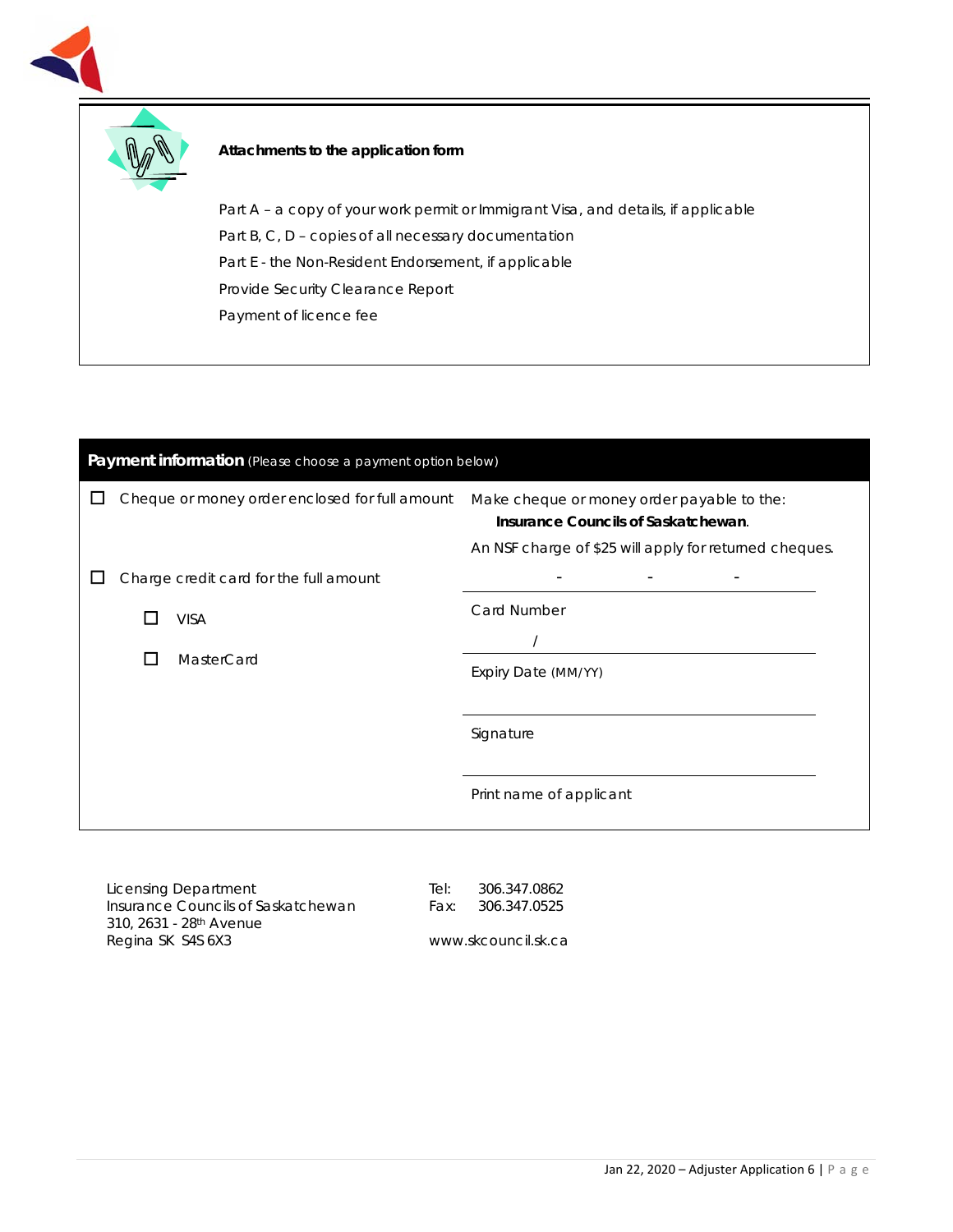



#### **Attachments to the application form**

Part A - a copy of your work permit or Immigrant Visa, and details, if applicable Part B, C, D – copies of all necessary documentation Part E - the Non-Resident Endorsement, if applicable Provide Security Clearance Report Payment of licence fee

| Payment information (Please choose a payment option below) |  |                                                |                                                                                                                                             |
|------------------------------------------------------------|--|------------------------------------------------|---------------------------------------------------------------------------------------------------------------------------------------------|
|                                                            |  | Cheque or money order enclosed for full amount | Make cheque or money order payable to the:<br>Insurance Councils of Saskatchewan.<br>An NSF charge of \$25 will apply for returned cheques. |
|                                                            |  | Charge credit card for the full amount         |                                                                                                                                             |
|                                                            |  | <b>VISA</b>                                    | Card Number                                                                                                                                 |
|                                                            |  | MasterCard                                     | Expiry Date (MM/YY)                                                                                                                         |
|                                                            |  |                                                |                                                                                                                                             |
|                                                            |  |                                                | Signature                                                                                                                                   |
|                                                            |  |                                                | Print name of applicant                                                                                                                     |
|                                                            |  |                                                |                                                                                                                                             |

Licensing Department Insurance Councils of Saskatchewan 310, 2631 - 28th Avenue Regina SK S4S 6X3

Tel: 306.347.0862 Fax: 306.347.0525

www.skcouncil.sk.ca